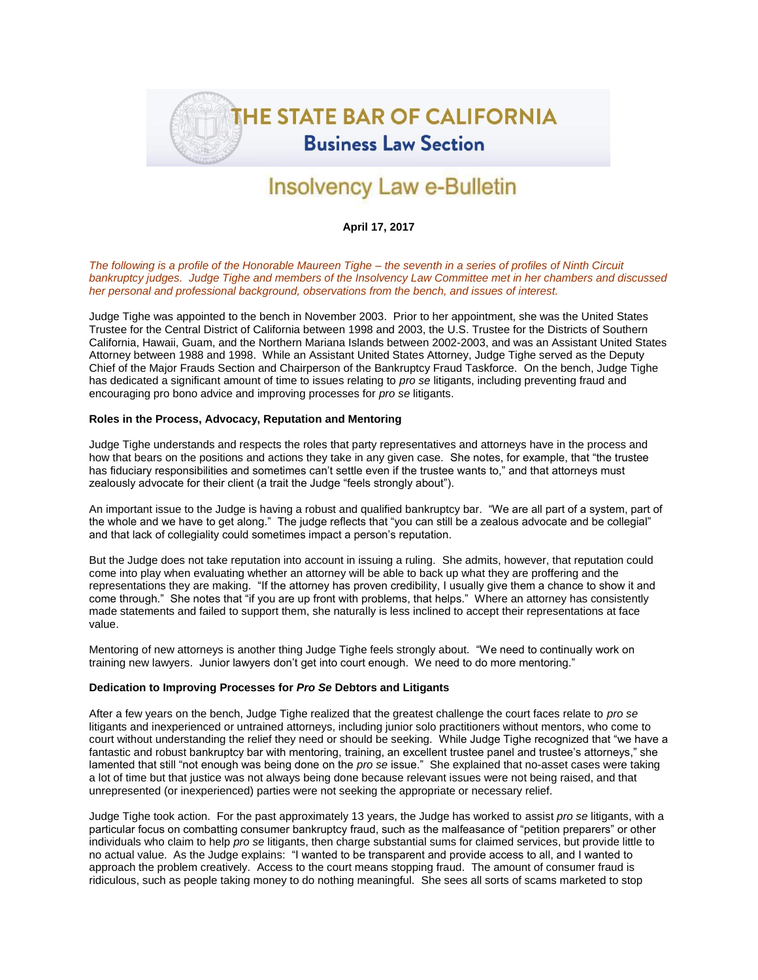

# Insolvency Law e-Bulletin

**April 17, 2017**

*The following is a profile of the Honorable Maureen Tighe – the seventh in a series of profiles of Ninth Circuit bankruptcy judges. Judge Tighe and members of the Insolvency Law Committee met in her chambers and discussed her personal and professional background, observations from the bench, and issues of interest.*

Judge Tighe was appointed to the bench in November 2003. Prior to her appointment, she was the United States Trustee for the Central District of California between 1998 and 2003, the U.S. Trustee for the Districts of Southern California, Hawaii, Guam, and the Northern Mariana Islands between 2002-2003, and was an Assistant United States Attorney between 1988 and 1998. While an Assistant United States Attorney, Judge Tighe served as the Deputy Chief of the Major Frauds Section and Chairperson of the Bankruptcy Fraud Taskforce. On the bench, Judge Tighe has dedicated a significant amount of time to issues relating to *pro se* litigants, including preventing fraud and encouraging pro bono advice and improving processes for *pro se* litigants.

## **Roles in the Process, Advocacy, Reputation and Mentoring**

Judge Tighe understands and respects the roles that party representatives and attorneys have in the process and how that bears on the positions and actions they take in any given case. She notes, for example, that "the trustee has fiduciary responsibilities and sometimes can't settle even if the trustee wants to," and that attorneys must zealously advocate for their client (a trait the Judge "feels strongly about").

An important issue to the Judge is having a robust and qualified bankruptcy bar. "We are all part of a system, part of the whole and we have to get along." The judge reflects that "you can still be a zealous advocate and be collegial" and that lack of collegiality could sometimes impact a person's reputation.

But the Judge does not take reputation into account in issuing a ruling. She admits, however, that reputation could come into play when evaluating whether an attorney will be able to back up what they are proffering and the representations they are making. "If the attorney has proven credibility, I usually give them a chance to show it and come through." She notes that "if you are up front with problems, that helps." Where an attorney has consistently made statements and failed to support them, she naturally is less inclined to accept their representations at face value.

Mentoring of new attorneys is another thing Judge Tighe feels strongly about. "We need to continually work on training new lawyers. Junior lawyers don't get into court enough. We need to do more mentoring."

## **Dedication to Improving Processes for** *Pro Se* **Debtors and Litigants**

After a few years on the bench, Judge Tighe realized that the greatest challenge the court faces relate to *pro se* litigants and inexperienced or untrained attorneys, including junior solo practitioners without mentors, who come to court without understanding the relief they need or should be seeking. While Judge Tighe recognized that "we have a fantastic and robust bankruptcy bar with mentoring, training, an excellent trustee panel and trustee's attorneys," she lamented that still "not enough was being done on the *pro se* issue." She explained that no-asset cases were taking a lot of time but that justice was not always being done because relevant issues were not being raised, and that unrepresented (or inexperienced) parties were not seeking the appropriate or necessary relief.

Judge Tighe took action. For the past approximately 13 years, the Judge has worked to assist *pro se* litigants, with a particular focus on combatting consumer bankruptcy fraud, such as the malfeasance of "petition preparers" or other individuals who claim to help *pro se* litigants, then charge substantial sums for claimed services, but provide little to no actual value. As the Judge explains: "I wanted to be transparent and provide access to all, and I wanted to approach the problem creatively. Access to the court means stopping fraud. The amount of consumer fraud is ridiculous, such as people taking money to do nothing meaningful. She sees all sorts of scams marketed to stop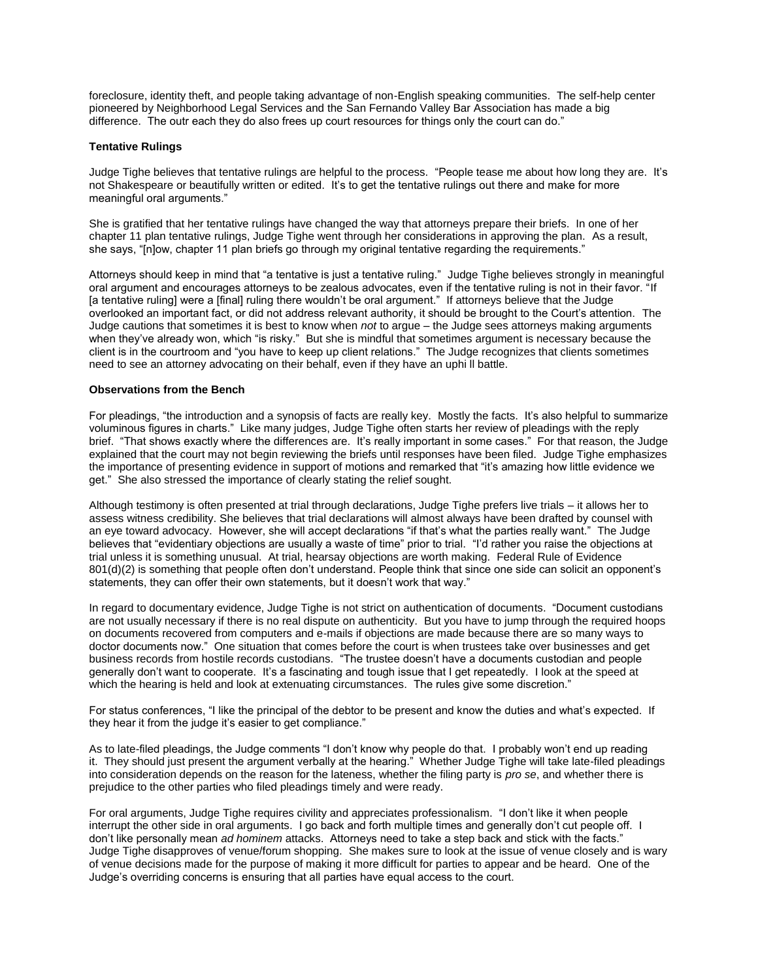foreclosure, identity theft, and people taking advantage of non-English speaking communities. The self-help center pioneered by Neighborhood Legal Services and the San Fernando Valley Bar Association has made a big difference. The outr each they do also frees up court resources for things only the court can do."

## **Tentative Rulings**

Judge Tighe believes that tentative rulings are helpful to the process. "People tease me about how long they are. It's not Shakespeare or beautifully written or edited. It's to get the tentative rulings out there and make for more meaningful oral arguments."

She is gratified that her tentative rulings have changed the way that attorneys prepare their briefs. In one of her chapter 11 plan tentative rulings, Judge Tighe went through her considerations in approving the plan. As a result, she says, "[n]ow, chapter 11 plan briefs go through my original tentative regarding the requirements."

Attorneys should keep in mind that "a tentative is just a tentative ruling." Judge Tighe believes strongly in meaningful oral argument and encourages attorneys to be zealous advocates, even if the tentative ruling is not in their favor. "If [a tentative ruling] were a [final] ruling there wouldn't be oral argument." If attorneys believe that the Judge overlooked an important fact, or did not address relevant authority, it should be brought to the Court's attention. The Judge cautions that sometimes it is best to know when *not* to argue – the Judge sees attorneys making arguments when they've already won, which "is risky." But she is mindful that sometimes argument is necessary because the client is in the courtroom and "you have to keep up client relations." The Judge recognizes that clients sometimes need to see an attorney advocating on their behalf, even if they have an uphi ll battle.

## **Observations from the Bench**

For pleadings, "the introduction and a synopsis of facts are really key. Mostly the facts. It's also helpful to summarize voluminous figures in charts." Like many judges, Judge Tighe often starts her review of pleadings with the reply brief. "That shows exactly where the differences are. It's really important in some cases." For that reason, the Judge explained that the court may not begin reviewing the briefs until responses have been filed. Judge Tighe emphasizes the importance of presenting evidence in support of motions and remarked that "it's amazing how little evidence we get." She also stressed the importance of clearly stating the relief sought.

Although testimony is often presented at trial through declarations, Judge Tighe prefers live trials – it allows her to assess witness credibility. She believes that trial declarations will almost always have been drafted by counsel with an eye toward advocacy. However, she will accept declarations "if that's what the parties really want." The Judge believes that "evidentiary objections are usually a waste of time" prior to trial. "I'd rather you raise the objections at trial unless it is something unusual. At trial, hearsay objections are worth making. Federal Rule of Evidence 801(d)(2) is something that people often don't understand. People think that since one side can solicit an opponent's statements, they can offer their own statements, but it doesn't work that way."

In regard to documentary evidence, Judge Tighe is not strict on authentication of documents. "Document custodians are not usually necessary if there is no real dispute on authenticity. But you have to jump through the required hoops on documents recovered from computers and e-mails if objections are made because there are so many ways to doctor documents now." One situation that comes before the court is when trustees take over businesses and get business records from hostile records custodians. "The trustee doesn't have a documents custodian and people generally don't want to cooperate. It's a fascinating and tough issue that I get repeatedly. I look at the speed at which the hearing is held and look at extenuating circumstances. The rules give some discretion."

For status conferences, "I like the principal of the debtor to be present and know the duties and what's expected. If they hear it from the judge it's easier to get compliance."

As to late-filed pleadings, the Judge comments "I don't know why people do that. I probably won't end up reading it. They should just present the argument verbally at the hearing." Whether Judge Tighe will take late-filed pleadings into consideration depends on the reason for the lateness, whether the filing party is *pro se*, and whether there is prejudice to the other parties who filed pleadings timely and were ready.

For oral arguments, Judge Tighe requires civility and appreciates professionalism. "I don't like it when people interrupt the other side in oral arguments. I go back and forth multiple times and generally don't cut people off. I don't like personally mean *ad hominem* attacks. Attorneys need to take a step back and stick with the facts." Judge Tighe disapproves of venue/forum shopping. She makes sure to look at the issue of venue closely and is wary of venue decisions made for the purpose of making it more difficult for parties to appear and be heard. One of the Judge's overriding concerns is ensuring that all parties have equal access to the court.